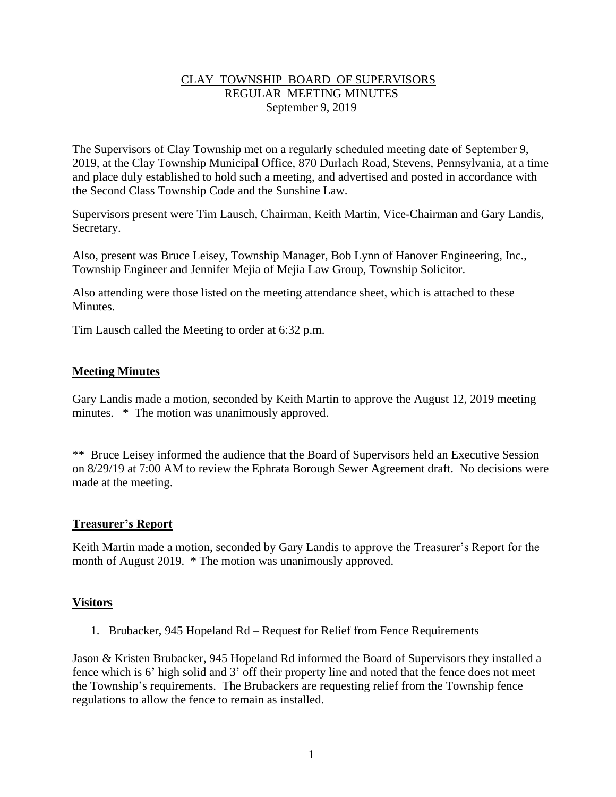## CLAY TOWNSHIP BOARD OF SUPERVISORS REGULAR MEETING MINUTES September 9, 2019

The Supervisors of Clay Township met on a regularly scheduled meeting date of September 9, 2019, at the Clay Township Municipal Office, 870 Durlach Road, Stevens, Pennsylvania, at a time and place duly established to hold such a meeting, and advertised and posted in accordance with the Second Class Township Code and the Sunshine Law.

Supervisors present were Tim Lausch, Chairman, Keith Martin, Vice-Chairman and Gary Landis, Secretary.

Also, present was Bruce Leisey, Township Manager, Bob Lynn of Hanover Engineering, Inc., Township Engineer and Jennifer Mejia of Mejia Law Group, Township Solicitor.

Also attending were those listed on the meeting attendance sheet, which is attached to these **Minutes** 

Tim Lausch called the Meeting to order at 6:32 p.m.

## **Meeting Minutes**

Gary Landis made a motion, seconded by Keith Martin to approve the August 12, 2019 meeting minutes. \* The motion was unanimously approved.

\*\* Bruce Leisey informed the audience that the Board of Supervisors held an Executive Session on 8/29/19 at 7:00 AM to review the Ephrata Borough Sewer Agreement draft. No decisions were made at the meeting.

## **Treasurer's Report**

Keith Martin made a motion, seconded by Gary Landis to approve the Treasurer's Report for the month of August 2019. \* The motion was unanimously approved.

## **Visitors**

1. Brubacker, 945 Hopeland Rd – Request for Relief from Fence Requirements

Jason & Kristen Brubacker, 945 Hopeland Rd informed the Board of Supervisors they installed a fence which is 6' high solid and 3' off their property line and noted that the fence does not meet the Township's requirements. The Brubackers are requesting relief from the Township fence regulations to allow the fence to remain as installed.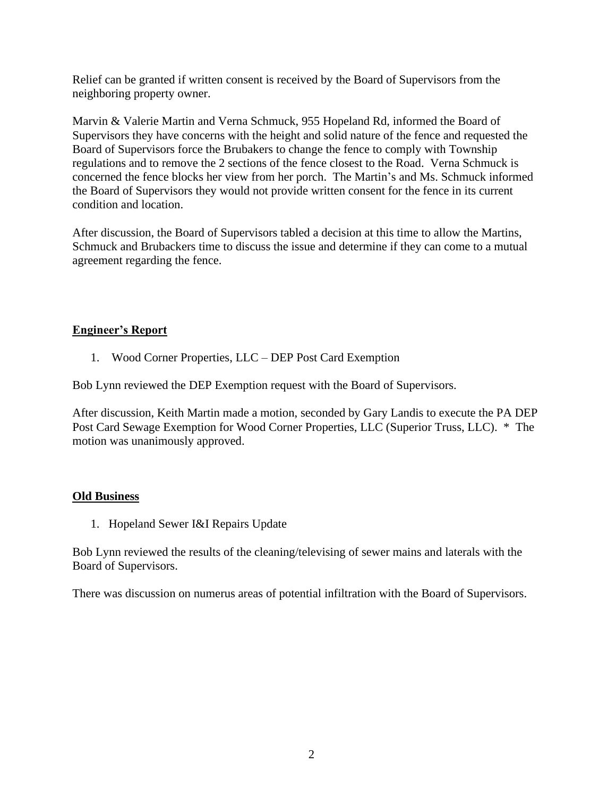Relief can be granted if written consent is received by the Board of Supervisors from the neighboring property owner.

Marvin & Valerie Martin and Verna Schmuck, 955 Hopeland Rd, informed the Board of Supervisors they have concerns with the height and solid nature of the fence and requested the Board of Supervisors force the Brubakers to change the fence to comply with Township regulations and to remove the 2 sections of the fence closest to the Road. Verna Schmuck is concerned the fence blocks her view from her porch. The Martin's and Ms. Schmuck informed the Board of Supervisors they would not provide written consent for the fence in its current condition and location.

After discussion, the Board of Supervisors tabled a decision at this time to allow the Martins, Schmuck and Brubackers time to discuss the issue and determine if they can come to a mutual agreement regarding the fence.

# **Engineer's Report**

1. Wood Corner Properties, LLC – DEP Post Card Exemption

Bob Lynn reviewed the DEP Exemption request with the Board of Supervisors.

After discussion, Keith Martin made a motion, seconded by Gary Landis to execute the PA DEP Post Card Sewage Exemption for Wood Corner Properties, LLC (Superior Truss, LLC). \* The motion was unanimously approved.

## **Old Business**

1. Hopeland Sewer I&I Repairs Update

Bob Lynn reviewed the results of the cleaning/televising of sewer mains and laterals with the Board of Supervisors.

There was discussion on numerus areas of potential infiltration with the Board of Supervisors.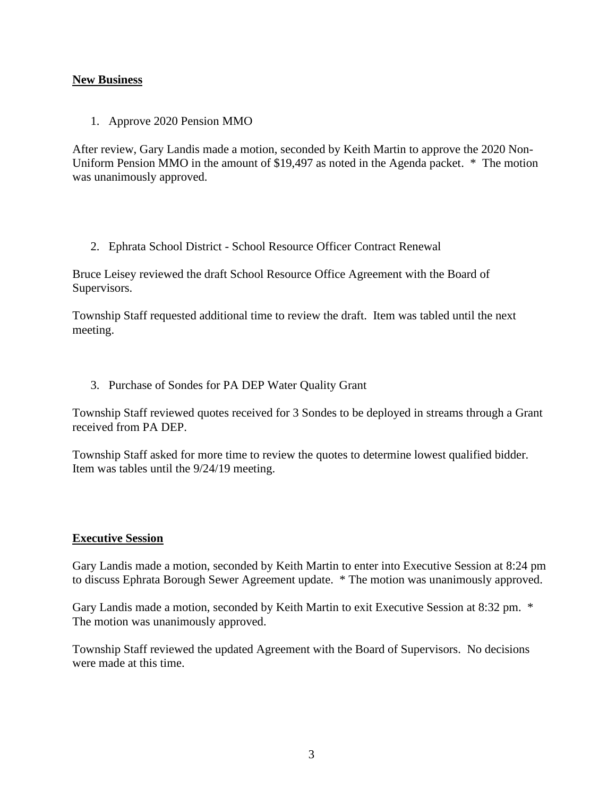## **New Business**

1. Approve 2020 Pension MMO

After review, Gary Landis made a motion, seconded by Keith Martin to approve the 2020 Non-Uniform Pension MMO in the amount of \$19,497 as noted in the Agenda packet. \* The motion was unanimously approved.

2. Ephrata School District - School Resource Officer Contract Renewal

Bruce Leisey reviewed the draft School Resource Office Agreement with the Board of Supervisors.

Township Staff requested additional time to review the draft. Item was tabled until the next meeting.

3. Purchase of Sondes for PA DEP Water Quality Grant

Township Staff reviewed quotes received for 3 Sondes to be deployed in streams through a Grant received from PA DEP.

Township Staff asked for more time to review the quotes to determine lowest qualified bidder. Item was tables until the 9/24/19 meeting.

# **Executive Session**

Gary Landis made a motion, seconded by Keith Martin to enter into Executive Session at 8:24 pm to discuss Ephrata Borough Sewer Agreement update. \* The motion was unanimously approved.

Gary Landis made a motion, seconded by Keith Martin to exit Executive Session at 8:32 pm. \* The motion was unanimously approved.

Township Staff reviewed the updated Agreement with the Board of Supervisors. No decisions were made at this time.